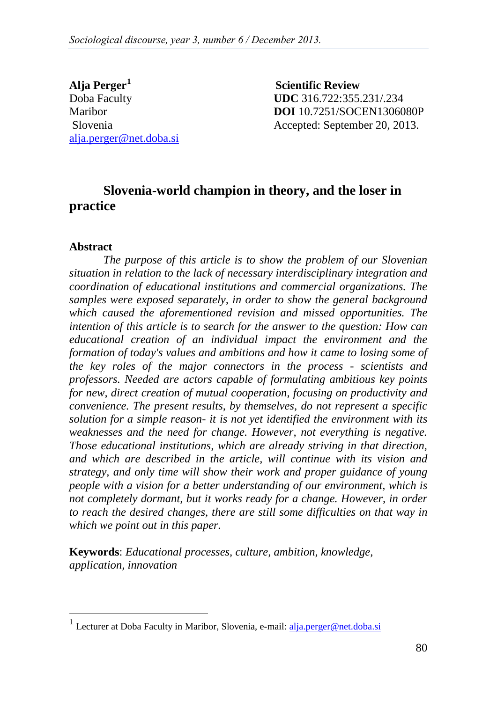**Alja Perger[1](#page-0-0)** alja.perger@net.doba.si

 **Scientific Review** Doba Faculty **UDC** 316.722:355.231/.234 Maribor **DOI** 10.7251/SOCEN1306080P Slovenia Accepted: September 20, 2013.

# **Slovenia-world champion in theory, and the loser in practice**

#### **Abstract**

*The purpose of this article is to show the problem of our Slovenian situation in relation to the lack of necessary interdisciplinary integration and coordination of educational institutions and commercial organizations. The samples were exposed separately, in order to show the general background which caused the aforementioned revision and missed opportunities. The intention of this article is to search for the answer to the question: How can educational creation of an individual impact the environment and the formation of today's values and ambitions and how it came to losing some of the key roles of the major connectors in the process - scientists and professors. Needed are actors capable of formulating ambitious key points for new, direct creation of mutual cooperation, focusing on productivity and convenience. The present results, by themselves, do not represent a specific solution for a simple reason- it is not yet identified the environment with its weaknesses and the need for change. However, not everything is negative. Those educational institutions, which are already striving in that direction, and which are described in the article, will continue with its vision and strategy, and only time will show their work and proper guidance of young people with a vision for a better understanding of our environment, which is*  not completely dormant, but it works ready for a change. However, in order *to reach the desired changes, there are still some difficulties on that way in which we point out in this paper.*

**Keywords**: *Educational processes, culture, ambition, knowledge, application, innovation*

<span id="page-0-0"></span><sup>&</sup>lt;sup>1</sup> Lecturer at Doba Faculty in Maribor, Slovenia, e-mail: **alja.perger@net.doba.si**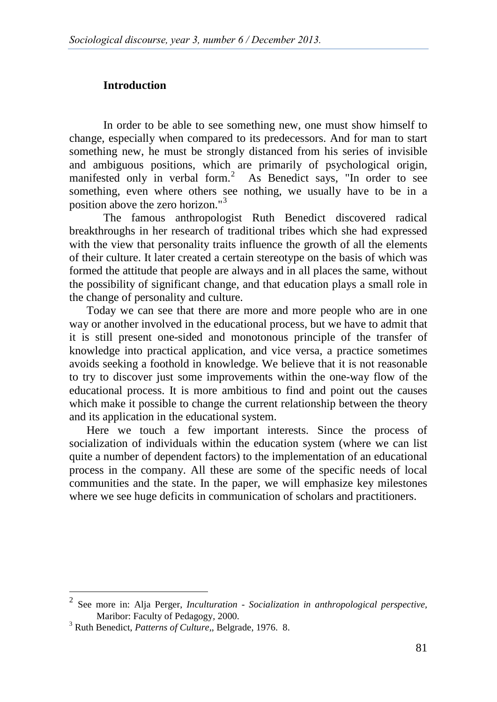## **Introduction**

In order to be able to see something new, one must show himself to change, especially when compared to its predecessors. And for man to start something new, he must be strongly distanced from his series of invisible and ambiguous positions, which are primarily of psychological origin, manifested only in verbal form.<sup>[2](#page-1-0)</sup> As Benedict says, "In order to see something, even where others see nothing, we usually have to be in a position above the zero horizon."<sup>[3](#page-1-1)</sup>

The famous anthropologist Ruth Benedict discovered radical breakthroughs in her research of traditional tribes which she had expressed with the view that personality traits influence the growth of all the elements of their culture. It later created a certain stereotype on the basis of which was formed the attitude that people are always and in all places the same, without the possibility of significant change, and that education plays a small role in the change of personality and culture.

Today we can see that there are more and more people who are in one way or another involved in the educational process, but we have to admit that it is still present one-sided and monotonous principle of the transfer of knowledge into practical application, and vice versa, a practice sometimes avoids seeking a foothold in knowledge. We believe that it is not reasonable to try to discover just some improvements within the one-way flow of the educational process. It is more ambitious to find and point out the causes which make it possible to change the current relationship between the theory and its application in the educational system.

Here we touch a few important interests. Since the process of socialization of individuals within the education system (where we can list quite a number of dependent factors) to the implementation of an educational process in the company. All these are some of the specific needs of local communities and the state. In the paper, we will emphasize key milestones where we see huge deficits in communication of scholars and practitioners.

<span id="page-1-0"></span> <sup>2</sup> See more in: Alja Perger, *Inculturation - Socialization in anthropological perspective,*  Maribor: Faculty of Pedagogy, 2000. <sup>3</sup> Ruth Benedict, *Patterns of Culture,*, Belgrade, 1976. 8.

<span id="page-1-1"></span>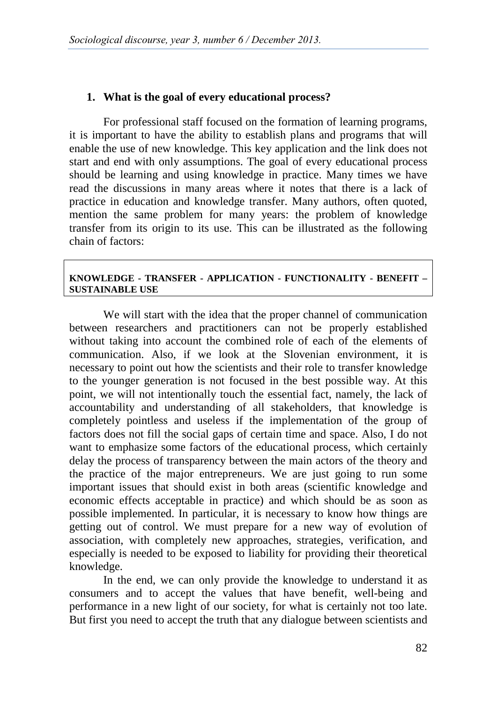## **1. What is the goal of every educational process?**

For professional staff focused on the formation of learning programs, it is important to have the ability to establish plans and programs that will enable the use of new knowledge. This key application and the link does not start and end with only assumptions. The goal of every educational process should be learning and using knowledge in practice. Many times we have read the discussions in many areas where it notes that there is a lack of practice in education and knowledge transfer. Many authors, often quoted, mention the same problem for many years: the problem of knowledge transfer from its origin to its use. This can be illustrated as the following chain of factors:

#### **KNOWLEDGE - TRANSFER - APPLICATION - FUNCTIONALITY - BENEFIT – SUSTAINABLE USE**

We will start with the idea that the proper channel of communication between researchers and practitioners can not be properly established without taking into account the combined role of each of the elements of communication. Also, if we look at the Slovenian environment, it is necessary to point out how the scientists and their role to transfer knowledge to the younger generation is not focused in the best possible way. At this point, we will not intentionally touch the essential fact, namely, the lack of accountability and understanding of all stakeholders, that knowledge is completely pointless and useless if the implementation of the group of factors does not fill the social gaps of certain time and space. Also, I do not want to emphasize some factors of the educational process, which certainly delay the process of transparency between the main actors of the theory and the practice of the major entrepreneurs. We are just going to run some important issues that should exist in both areas (scientific knowledge and economic effects acceptable in practice) and which should be as soon as possible implemented. In particular, it is necessary to know how things are getting out of control. We must prepare for a new way of evolution of association, with completely new approaches, strategies, verification, and especially is needed to be exposed to liability for providing their theoretical knowledge.

In the end, we can only provide the knowledge to understand it as consumers and to accept the values that have benefit, well-being and performance in a new light of our society, for what is certainly not too late. But first you need to accept the truth that any dialogue between scientists and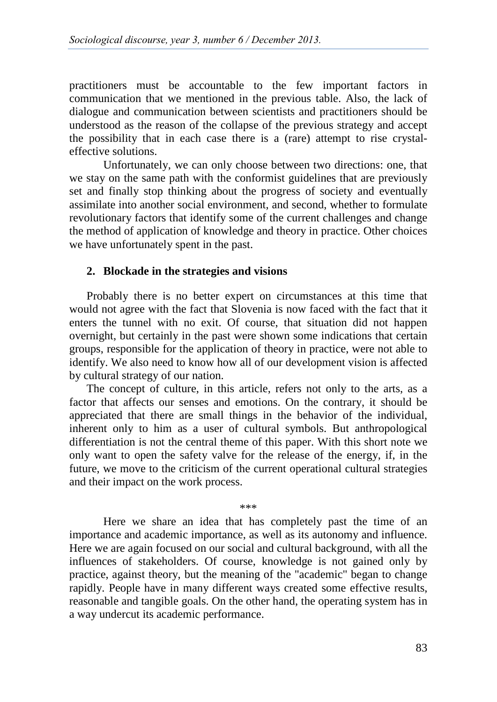practitioners must be accountable to the few important factors in communication that we mentioned in the previous table. Also, the lack of dialogue and communication between scientists and practitioners should be understood as the reason of the collapse of the previous strategy and accept the possibility that in each case there is a (rare) attempt to rise crystaleffective solutions.

Unfortunately, we can only choose between two directions: one, that we stay on the same path with the conformist guidelines that are previously set and finally stop thinking about the progress of society and eventually assimilate into another social environment, and second, whether to formulate revolutionary factors that identify some of the current challenges and change the method of application of knowledge and theory in practice. Other choices we have unfortunately spent in the past.

#### **2. Blockade in the strategies and visions**

Probably there is no better expert on circumstances at this time that would not agree with the fact that Slovenia is now faced with the fact that it enters the tunnel with no exit. Of course, that situation did not happen overnight, but certainly in the past were shown some indications that certain groups, responsible for the application of theory in practice, were not able to identify. We also need to know how all of our development vision is affected by cultural strategy of our nation.

The concept of culture, in this article, refers not only to the arts, as a factor that affects our senses and emotions. On the contrary, it should be appreciated that there are small things in the behavior of the individual, inherent only to him as a user of cultural symbols. But anthropological differentiation is not the central theme of this paper. With this short note we only want to open the safety valve for the release of the energy, if, in the future, we move to the criticism of the current operational cultural strategies and their impact on the work process.

Here we share an idea that has completely past the time of an importance and academic importance, as well as its autonomy and influence. Here we are again focused on our social and cultural background, with all the influences of stakeholders. Of course, knowledge is not gained only by practice, against theory, but the meaning of the "academic" began to change rapidly. People have in many different ways created some effective results, reasonable and tangible goals. On the other hand, the operating system has in a way undercut its academic performance.

\*\*\*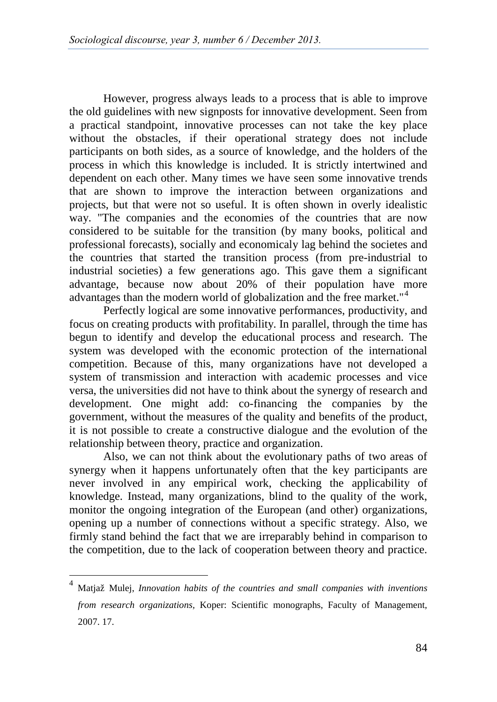However, progress always leads to a process that is able to improve the old guidelines with new signposts for innovative development. Seen from a practical standpoint, innovative processes can not take the key place without the obstacles, if their operational strategy does not include participants on both sides, as a source of knowledge, and the holders of the process in which this knowledge is included. It is strictly intertwined and dependent on each other. Many times we have seen some innovative trends that are shown to improve the interaction between organizations and projects, but that were not so useful. It is often shown in overly idealistic way. "The companies and the economies of the countries that are now considered to be suitable for the transition (by many books, political and professional forecasts), socially and economicaly lag behind the societes and the countries that started the transition process (from pre-industrial to industrial societies) a few generations ago. This gave them a significant advantage, because now about 20% of their population have more advantages than the modern world of globalization and the free market." [4](#page-4-0)

Perfectly logical are some innovative performances, productivity, and focus on creating products with profitability. In parallel, through the time has begun to identify and develop the educational process and research. The system was developed with the economic protection of the international competition. Because of this, many organizations have not developed a system of transmission and interaction with academic processes and vice versa, the universities did not have to think about the synergy of research and development. One might add: co-financing the companies by the government, without the measures of the quality and benefits of the product, it is not possible to create a constructive dialogue and the evolution of the relationship between theory, practice and organization.

Also, we can not think about the evolutionary paths of two areas of synergy when it happens unfortunately often that the key participants are never involved in any empirical work, checking the applicability of knowledge. Instead, many organizations, blind to the quality of the work, monitor the ongoing integration of the European (and other) organizations, opening up a number of connections without a specific strategy. Also, we firmly stand behind the fact that we are irreparably behind in comparison to the competition, due to the lack of cooperation between theory and practice.

<span id="page-4-0"></span> <sup>4</sup> Matjaž Mulej, *Innovation habits of the countries and small companies with inventions from research organizations,* Koper: Scientific monographs, Faculty of Management*,* 2007. 17.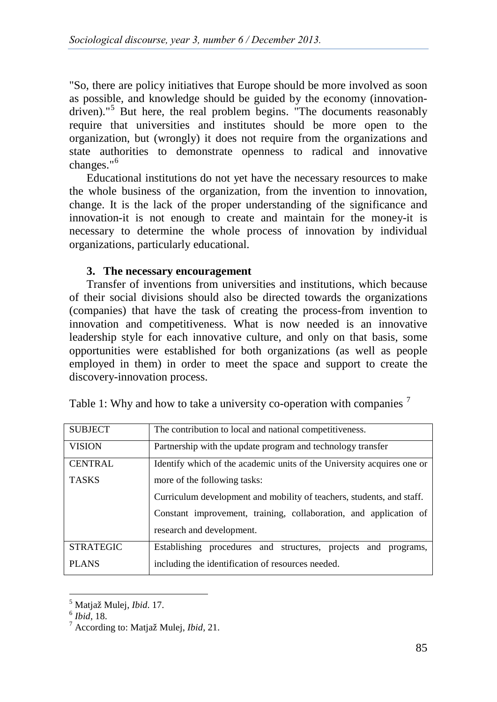"So, there are policy initiatives that Europe should be more involved as soon as possible, and knowledge should be guided by the economy (innovation-driven)."<sup>[5](#page-5-0)</sup> But here, the real problem begins. "The documents reasonably require that universities and institutes should be more open to the organization, but (wrongly) it does not require from the organizations and state authorities to demonstrate openness to radical and innovative changes."<sup>[6](#page-5-0)</sup>

Educational institutions do not yet have the necessary resources to make the whole business of the organization, from the invention to innovation, change. It is the lack of the proper understanding of the significance and innovation-it is not enough to create and maintain for the money-it is necessary to determine the whole process of innovation by individual organizations, particularly educational.

## **3. The necessary encouragement**

Transfer of inventions from universities and institutions, which because of their social divisions should also be directed towards the organizations (companies) that have the task of creating the process-from invention to innovation and competitiveness. What is now needed is an innovative leadership style for each innovative culture, and only on that basis, some opportunities were established for both organizations (as well as people employed in them) in order to meet the space and support to create the discovery-innovation process.

| <b>SUBJECT</b>   | The contribution to local and national competitiveness.                |  |  |  |  |  |  |  |  |  |  |
|------------------|------------------------------------------------------------------------|--|--|--|--|--|--|--|--|--|--|
| <b>VISION</b>    | Partnership with the update program and technology transfer            |  |  |  |  |  |  |  |  |  |  |
| <b>CENTRAL</b>   | Identify which of the academic units of the University acquires one or |  |  |  |  |  |  |  |  |  |  |
| <b>TASKS</b>     | more of the following tasks:                                           |  |  |  |  |  |  |  |  |  |  |
|                  | Curriculum development and mobility of teachers, students, and staff.  |  |  |  |  |  |  |  |  |  |  |
|                  | Constant improvement, training, collaboration, and application of      |  |  |  |  |  |  |  |  |  |  |
|                  | research and development.                                              |  |  |  |  |  |  |  |  |  |  |
| <b>STRATEGIC</b> | Establishing procedures and structures, projects and programs,         |  |  |  |  |  |  |  |  |  |  |
| <b>PLANS</b>     | including the identification of resources needed.                      |  |  |  |  |  |  |  |  |  |  |

|  |  |  |  | Table 1: Why and how to take a university co-operation with companies $\prime$ |  |  |  |
|--|--|--|--|--------------------------------------------------------------------------------|--|--|--|
|  |  |  |  |                                                                                |  |  |  |
|  |  |  |  |                                                                                |  |  |  |
|  |  |  |  |                                                                                |  |  |  |

<span id="page-5-0"></span><sup>5</sup> Matjaž Mulej, *Ibid*. 17. <sup>6</sup> *Ibid,* 18. <sup>7</sup> According to: Matjaž Mulej, *Ibid,* 21.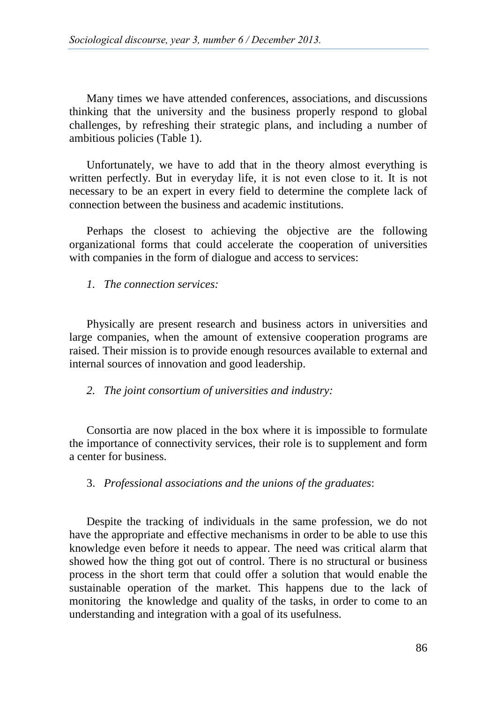Many times we have attended conferences, associations, and discussions thinking that the university and the business properly respond to global challenges, by refreshing their strategic plans, and including a number of ambitious policies (Table 1).

Unfortunately, we have to add that in the theory almost everything is written perfectly. But in everyday life, it is not even close to it. It is not necessary to be an expert in every field to determine the complete lack of connection between the business and academic institutions.

Perhaps the closest to achieving the objective are the following organizational forms that could accelerate the cooperation of universities with companies in the form of dialogue and access to services:

*1. The connection services:* 

Physically are present research and business actors in universities and large companies, when the amount of extensive cooperation programs are raised. Their mission is to provide enough resources available to external and internal sources of innovation and good leadership.

*2. The joint consortium of universities and industry:*

Consortia are now placed in the box where it is impossible to formulate the importance of connectivity services, their role is to supplement and form a center for business.

## 3. *Professional associations and the unions of the graduates*:

Despite the tracking of individuals in the same profession, we do not have the appropriate and effective mechanisms in order to be able to use this knowledge even before it needs to appear. The need was critical alarm that showed how the thing got out of control. There is no structural or business process in the short term that could offer a solution that would enable the sustainable operation of the market. This happens due to the lack of monitoring the knowledge and quality of the tasks, in order to come to an understanding and integration with a goal of its usefulness.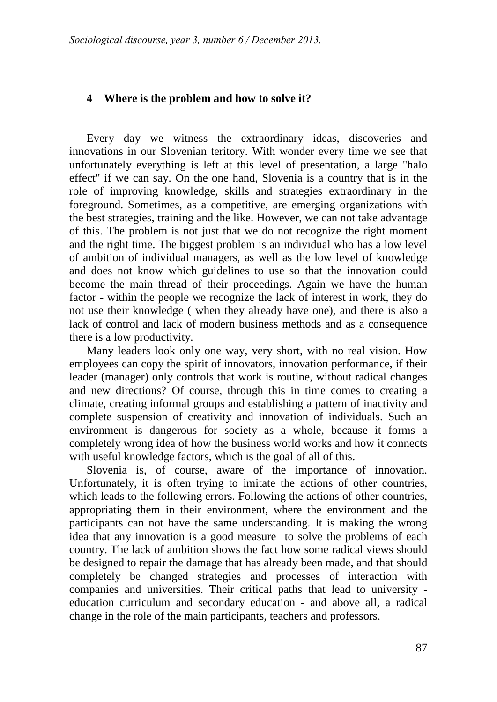#### **4 Where is the problem and how to solve it?**

Every day we witness the extraordinary ideas, discoveries and innovations in our Slovenian teritory. With wonder every time we see that unfortunately everything is left at this level of presentation, a large "halo effect" if we can say. On the one hand, Slovenia is a country that is in the role of improving knowledge, skills and strategies extraordinary in the foreground. Sometimes, as a competitive, are emerging organizations with the best strategies, training and the like. However, we can not take advantage of this. The problem is not just that we do not recognize the right moment and the right time. The biggest problem is an individual who has a low level of ambition of individual managers, as well as the low level of knowledge and does not know which guidelines to use so that the innovation could become the main thread of their proceedings. Again we have the human factor - within the people we recognize the lack of interest in work, they do not use their knowledge ( when they already have one), and there is also a lack of control and lack of modern business methods and as a consequence there is a low productivity.

Many leaders look only one way, very short, with no real vision. How employees can copy the spirit of innovators, innovation performance, if their leader (manager) only controls that work is routine, without radical changes and new directions? Of course, through this in time comes to creating a climate, creating informal groups and establishing a pattern of inactivity and complete suspension of creativity and innovation of individuals. Such an environment is dangerous for society as a whole, because it forms a completely wrong idea of how the business world works and how it connects with useful knowledge factors, which is the goal of all of this.

Slovenia is, of course, aware of the importance of innovation. Unfortunately, it is often trying to imitate the actions of other countries, which leads to the following errors. Following the actions of other countries, appropriating them in their environment, where the environment and the participants can not have the same understanding. It is making the wrong idea that any innovation is a good measure to solve the problems of each country. The lack of ambition shows the fact how some radical views should be designed to repair the damage that has already been made, and that should completely be changed strategies and processes of interaction with companies and universities. Their critical paths that lead to university education curriculum and secondary education - and above all, a radical change in the role of the main participants, teachers and professors.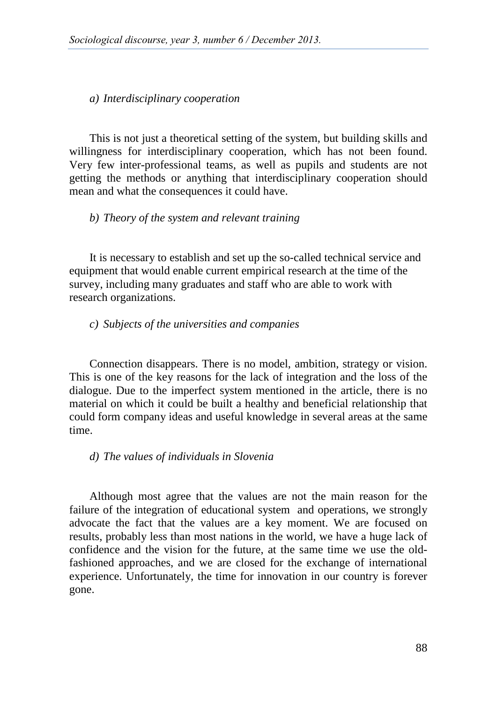#### *a) Interdisciplinary cooperation*

This is not just a theoretical setting of the system, but building skills and willingness for interdisciplinary cooperation, which has not been found. Very few inter-professional teams, as well as pupils and students are not getting the methods or anything that interdisciplinary cooperation should mean and what the consequences it could have.

## *b) Theory of the system and relevant training*

It is necessary to establish and set up the so-called technical service and equipment that would enable current empirical research at the time of the survey, including many graduates and staff who are able to work with research organizations.

#### *c) Subjects of the universities and companies*

Connection disappears. There is no model, ambition, strategy or vision. This is one of the key reasons for the lack of integration and the loss of the dialogue. Due to the imperfect system mentioned in the article, there is no material on which it could be built a healthy and beneficial relationship that could form company ideas and useful knowledge in several areas at the same time.

#### *d) The values of individuals in Slovenia*

Although most agree that the values are not the main reason for the failure of the integration of educational system and operations, we strongly advocate the fact that the values are a key moment. We are focused on results, probably less than most nations in the world, we have a huge lack of confidence and the vision for the future, at the same time we use the oldfashioned approaches, and we are closed for the exchange of international experience. Unfortunately, the time for innovation in our country is forever gone.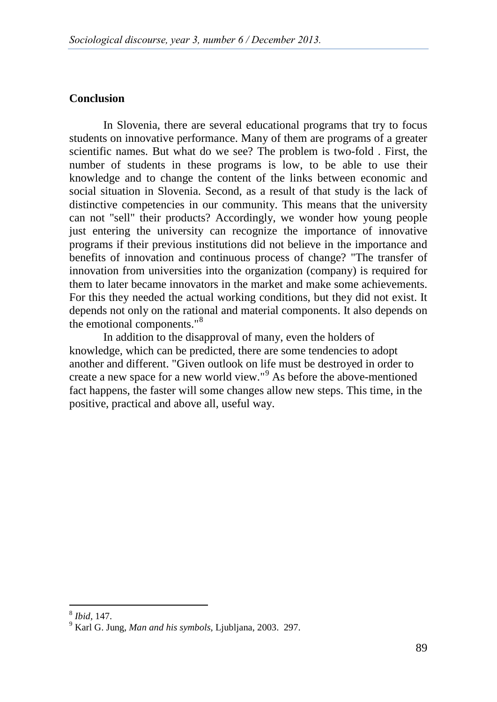### **Conclusion**

In Slovenia, there are several educational programs that try to focus students on innovative performance. Many of them are programs of a greater scientific names. But what do we see? The problem is two-fold . First, the number of students in these programs is low, to be able to use their knowledge and to change the content of the links between economic and social situation in Slovenia. Second, as a result of that study is the lack of distinctive competencies in our community. This means that the university can not "sell" their products? Accordingly, we wonder how young people just entering the university can recognize the importance of innovative programs if their previous institutions did not believe in the importance and benefits of innovation and continuous process of change? "The transfer of innovation from universities into the organization (company) is required for them to later became innovators in the market and make some achievements. For this they needed the actual working conditions, but they did not exist. It depends not only on the rational and material components. It also depends on the emotional components."<sup>[8](#page-9-0)</sup>

In addition to the disapproval of many, even the holders of knowledge, which can be predicted, there are some tendencies to adopt another and different. "Given outlook on life must be destroyed in order to create a new space for a new world view."[9](#page-9-0) As before the above-mentioned fact happens, the faster will some changes allow new steps. This time, in the positive, practical and above all, useful way.

<span id="page-9-0"></span><sup>&</sup>lt;sup>8</sup> *Ibid,* 147.<br><sup>9</sup> Karl G. Jung, *Man and his symbols*, Ljubljana, 2003. 297.